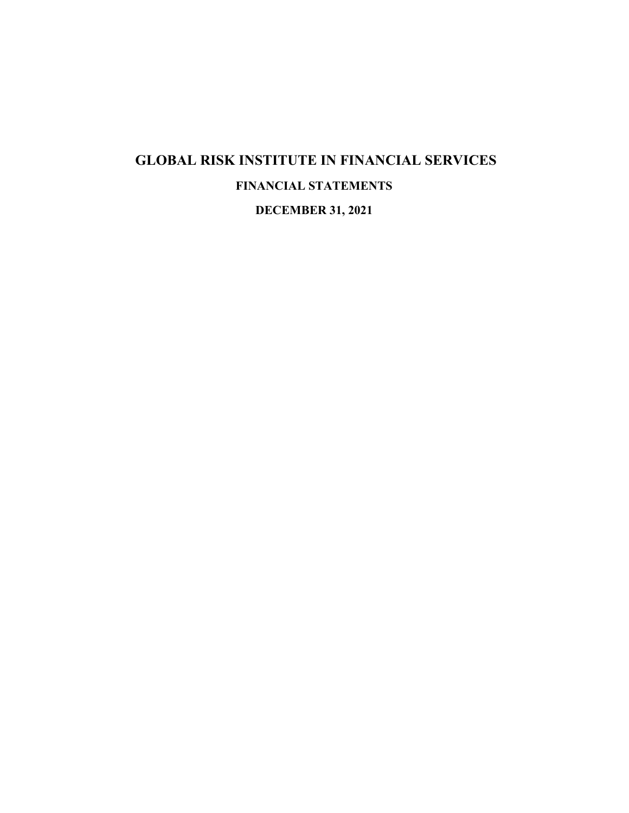# **GLOBAL RISK INSTITUTE IN FINANCIAL SERVICES FINANCIAL STATEMENTS DECEMBER 31, 2021**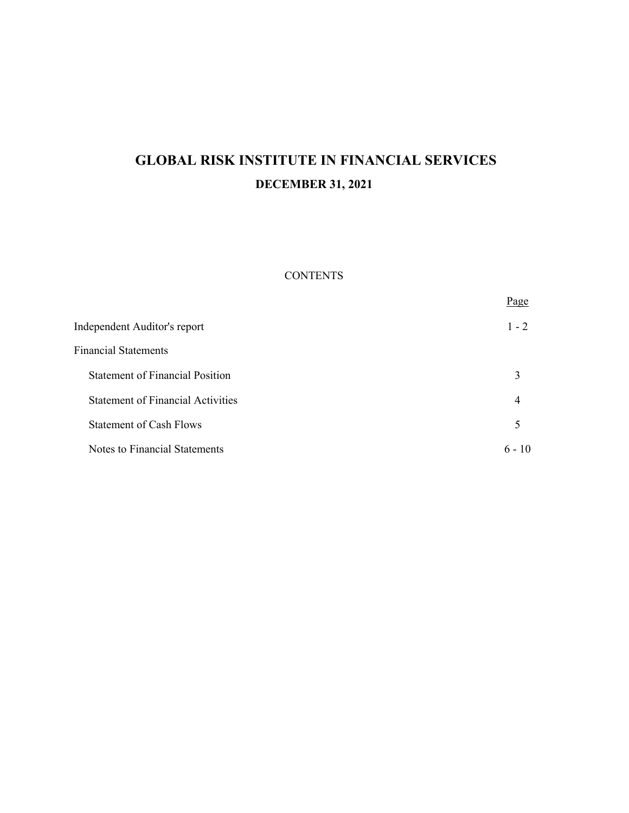# **GLOBAL RISK INSTITUTE IN FINANCIAL SERVICES DECEMBER 31, 2021**

#### **CONTENTS**

|                                          | Page     |
|------------------------------------------|----------|
| Independent Auditor's report             | $1 - 2$  |
| <b>Financial Statements</b>              |          |
| <b>Statement of Financial Position</b>   | 3        |
| <b>Statement of Financial Activities</b> | 4        |
| <b>Statement of Cash Flows</b>           | 5        |
| Notes to Financial Statements            | $6 - 10$ |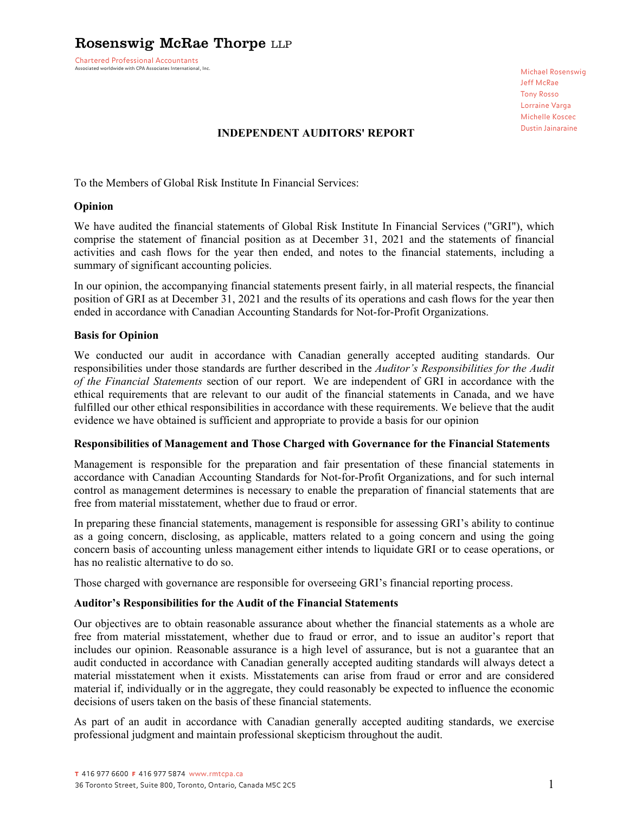Rosenswig McRae Thorpe LLP

Chartered Professional Accountants Associated worldwide with CPA Associates International, Inc. Michael Rosenswig

Jeff McRae Tony Rosso Lorraine Varga Michelle Koscec Dustin Jainaraine

#### **INDEPENDENT AUDITORS' REPORT**

To the Members of Global Risk Institute In Financial Services:

#### **Opinion**

We have audited the financial statements of Global Risk Institute In Financial Services ("GRI"), which comprise the statement of financial position as at December 31, 2021 and the statements of financial activities and cash flows for the year then ended, and notes to the financial statements, including a summary of significant accounting policies.

In our opinion, the accompanying financial statements present fairly, in all material respects, the financial position of GRI as at December 31, 2021 and the results of its operations and cash flows for the year then ended in accordance with Canadian Accounting Standards for Not-for-Profit Organizations.

#### **Basis for Opinion**

We conducted our audit in accordance with Canadian generally accepted auditing standards. Our responsibilities under those standards are further described in the *Auditor's Responsibilities for the Audit of the Financial Statements* section of our report. We are independent of GRI in accordance with the ethical requirements that are relevant to our audit of the financial statements in Canada, and we have fulfilled our other ethical responsibilities in accordance with these requirements. We believe that the audit evidence we have obtained is sufficient and appropriate to provide a basis for our opinion

#### **Responsibilities of Management and Those Charged with Governance for the Financial Statements**

Management is responsible for the preparation and fair presentation of these financial statements in accordance with Canadian Accounting Standards for Not-for-Profit Organizations, and for such internal control as management determines is necessary to enable the preparation of financial statements that are free from material misstatement, whether due to fraud or error.

In preparing these financial statements, management is responsible for assessing GRI's ability to continue as a going concern, disclosing, as applicable, matters related to a going concern and using the going concern basis of accounting unless management either intends to liquidate GRI or to cease operations, or has no realistic alternative to do so.

Those charged with governance are responsible for overseeing GRI's financial reporting process.

#### **Auditor's Responsibilities for the Audit of the Financial Statements**

Our objectives are to obtain reasonable assurance about whether the financial statements as a whole are free from material misstatement, whether due to fraud or error, and to issue an auditor's report that includes our opinion. Reasonable assurance is a high level of assurance, but is not a guarantee that an audit conducted in accordance with Canadian generally accepted auditing standards will always detect a material misstatement when it exists. Misstatements can arise from fraud or error and are considered material if, individually or in the aggregate, they could reasonably be expected to influence the economic decisions of users taken on the basis of these financial statements.

As part of an audit in accordance with Canadian generally accepted auditing standards, we exercise professional judgment and maintain professional skepticism throughout the audit.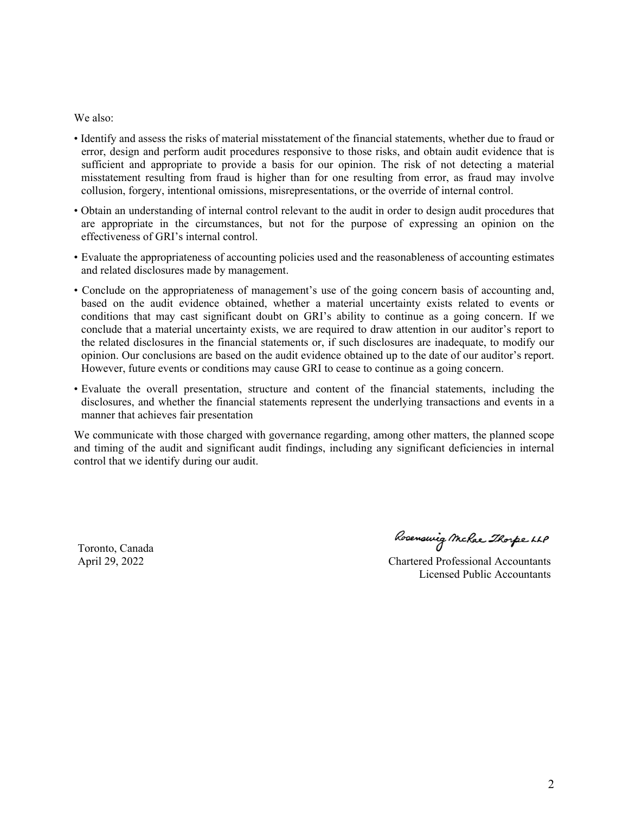#### We also:

- Identify and assess the risks of material misstatement of the financial statements, whether due to fraud or error, design and perform audit procedures responsive to those risks, and obtain audit evidence that is sufficient and appropriate to provide a basis for our opinion. The risk of not detecting a material misstatement resulting from fraud is higher than for one resulting from error, as fraud may involve collusion, forgery, intentional omissions, misrepresentations, or the override of internal control.
- Obtain an understanding of internal control relevant to the audit in order to design audit procedures that are appropriate in the circumstances, but not for the purpose of expressing an opinion on the effectiveness of GRI's internal control.
- Evaluate the appropriateness of accounting policies used and the reasonableness of accounting estimates and related disclosures made by management.
- Conclude on the appropriateness of management's use of the going concern basis of accounting and, based on the audit evidence obtained, whether a material uncertainty exists related to events or conditions that may cast significant doubt on GRI's ability to continue as a going concern. If we conclude that a material uncertainty exists, we are required to draw attention in our auditor's report to the related disclosures in the financial statements or, if such disclosures are inadequate, to modify our opinion. Our conclusions are based on the audit evidence obtained up to the date of our auditor's report. However, future events or conditions may cause GRI to cease to continue as a going concern.
- Evaluate the overall presentation, structure and content of the financial statements, including the disclosures, and whether the financial statements represent the underlying transactions and events in a manner that achieves fair presentation

We communicate with those charged with governance regarding, among other matters, the planned scope and timing of the audit and significant audit findings, including any significant deficiencies in internal control that we identify during our audit.

Toronto, Canada

Rosenswig McRae Thorpe LLP

April 29, 2022 Chartered Professional Accountants Licensed Public Accountants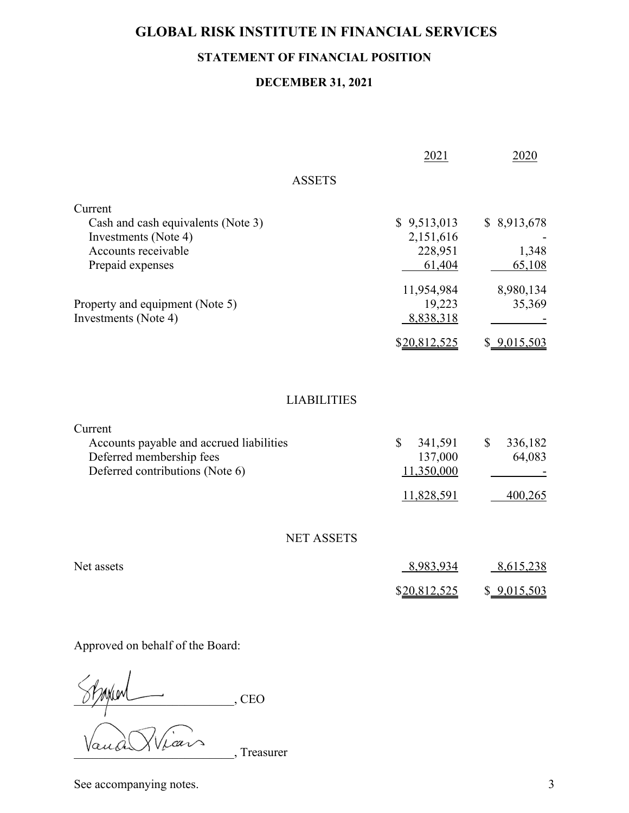# **STATEMENT OF FINANCIAL POSITION**

## **DECEMBER 31, 2021**

|                                                                                                                    | 2021                                             | 2020                            |
|--------------------------------------------------------------------------------------------------------------------|--------------------------------------------------|---------------------------------|
| <b>ASSETS</b>                                                                                                      |                                                  |                                 |
| Current<br>Cash and cash equivalents (Note 3)<br>Investments (Note 4)<br>Accounts receivable<br>Prepaid expenses   | \$9,513,013<br>2,151,616<br>228,951<br>61,404    | \$ 8,913,678<br>1,348<br>65,108 |
| Property and equipment (Note 5)<br>Investments (Note 4)                                                            | 11,954,984<br>19,223<br>8,838,318                | 8,980,134<br>35,369             |
|                                                                                                                    | \$20,812,525                                     | \$9,015,503                     |
| <b>LIABILITIES</b>                                                                                                 |                                                  |                                 |
| Current<br>Accounts payable and accrued liabilities<br>Deferred membership fees<br>Deferred contributions (Note 6) | $\mathbb{S}$<br>341,591<br>137,000<br>11,350,000 | 336,182<br>\$<br>64,083         |
|                                                                                                                    | 11,828,591                                       | 400,265                         |
| <b>NET ASSETS</b>                                                                                                  |                                                  |                                 |
| Net assets                                                                                                         | 8,983,934                                        | 8,615,238                       |
|                                                                                                                    | \$20,812,525                                     | \$9,015,503                     |
| Approved on behalf of the Board:                                                                                   |                                                  |                                 |

\_\_\_\_\_\_\_\_\_\_\_\_\_\_\_\_\_\_\_\_\_\_\_\_\_\_, CEO au de Wicais

See accompanying notes. 3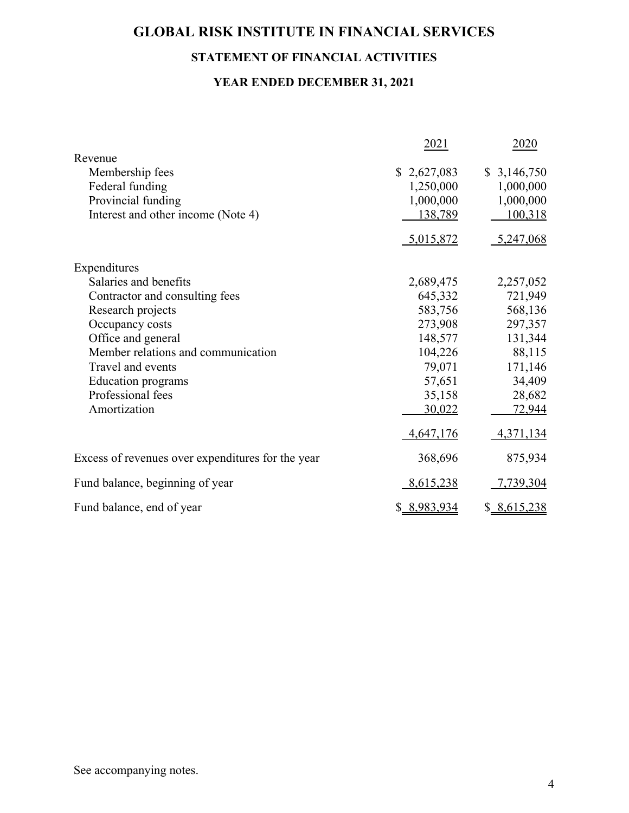# **STATEMENT OF FINANCIAL ACTIVITIES**

## **YEAR ENDED DECEMBER 31, 2021**

|                                                   | 2021         | 2020        |
|---------------------------------------------------|--------------|-------------|
| Revenue                                           |              |             |
| Membership fees                                   | \$2,627,083  | \$3,146,750 |
| Federal funding                                   | 1,250,000    | 1,000,000   |
| Provincial funding                                | 1,000,000    | 1,000,000   |
| Interest and other income (Note 4)                | 138,789      | 100,318     |
|                                                   | 5,015,872    | 5,247,068   |
| Expenditures                                      |              |             |
| Salaries and benefits                             | 2,689,475    | 2,257,052   |
| Contractor and consulting fees                    | 645,332      | 721,949     |
| Research projects                                 | 583,756      | 568,136     |
| Occupancy costs                                   | 273,908      | 297,357     |
| Office and general                                | 148,577      | 131,344     |
| Member relations and communication                | 104,226      | 88,115      |
| Travel and events                                 | 79,071       | 171,146     |
| <b>Education</b> programs                         | 57,651       | 34,409      |
| Professional fees                                 | 35,158       | 28,682      |
| Amortization                                      | 30,022       | 72,944      |
|                                                   | 4,647,176    | 4,371,134   |
| Excess of revenues over expenditures for the year | 368,696      | 875,934     |
| Fund balance, beginning of year                   | 8,615,238    | 7,739,304   |
| Fund balance, end of year                         | \$ 8,983,934 | \$8,615,238 |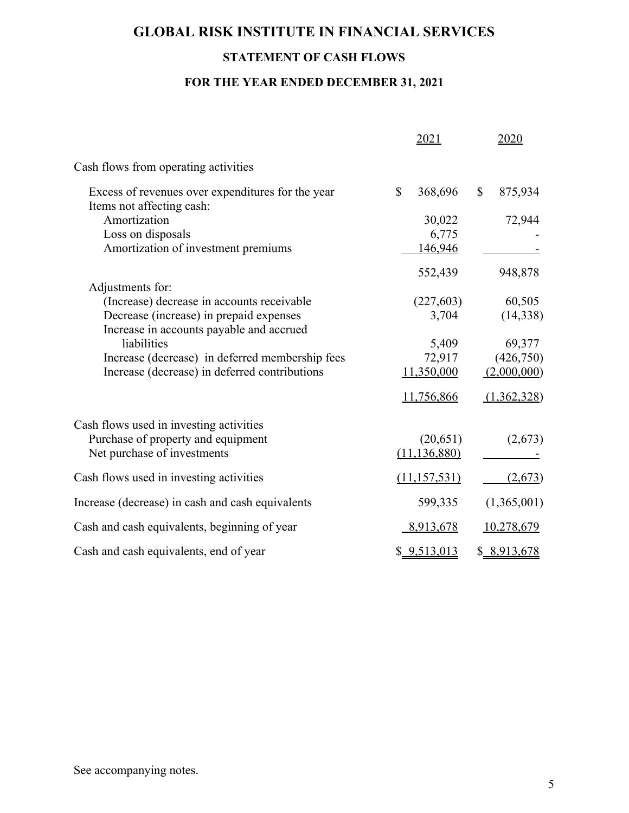# **STATEMENT OF CASH FLOWS**

## **FOR THE YEAR ENDED DECEMBER 31, 2021**

|                                                                                     |               | 2021           |              | 2020         |
|-------------------------------------------------------------------------------------|---------------|----------------|--------------|--------------|
| Cash flows from operating activities                                                |               |                |              |              |
| Excess of revenues over expenditures for the year<br>Items not affecting cash:      | $\mathcal{S}$ | 368,696        | $\mathbb{S}$ | 875,934      |
| Amortization                                                                        |               | 30,022         |              | 72,944       |
| Loss on disposals                                                                   |               | 6,775          |              |              |
| Amortization of investment premiums                                                 |               | 146,946        |              |              |
|                                                                                     |               | 552,439        |              | 948,878      |
| Adjustments for:                                                                    |               |                |              |              |
| (Increase) decrease in accounts receivable                                          |               | (227, 603)     |              | 60,505       |
| Decrease (increase) in prepaid expenses<br>Increase in accounts payable and accrued |               | 3,704          |              | (14, 338)    |
| liabilities                                                                         |               | 5,409          |              | 69,377       |
| Increase (decrease) in deferred membership fees                                     |               | 72,917         |              | (426,750)    |
| Increase (decrease) in deferred contributions                                       |               | 11,350,000     |              | (2,000,000)  |
|                                                                                     |               | 11,756,866     |              | (1,362,328)  |
| Cash flows used in investing activities                                             |               |                |              |              |
| Purchase of property and equipment                                                  |               | (20, 651)      |              | (2,673)      |
| Net purchase of investments                                                         |               | (11, 136, 880) |              |              |
| Cash flows used in investing activities                                             |               | (11, 157, 531) |              | (2,673)      |
| Increase (decrease) in cash and cash equivalents                                    |               | 599,335        |              | (1,365,001)  |
| Cash and cash equivalents, beginning of year                                        |               | 8,913,678      |              | 10,278,679   |
| Cash and cash equivalents, end of year                                              |               | \$9,513,013    |              | \$ 8,913,678 |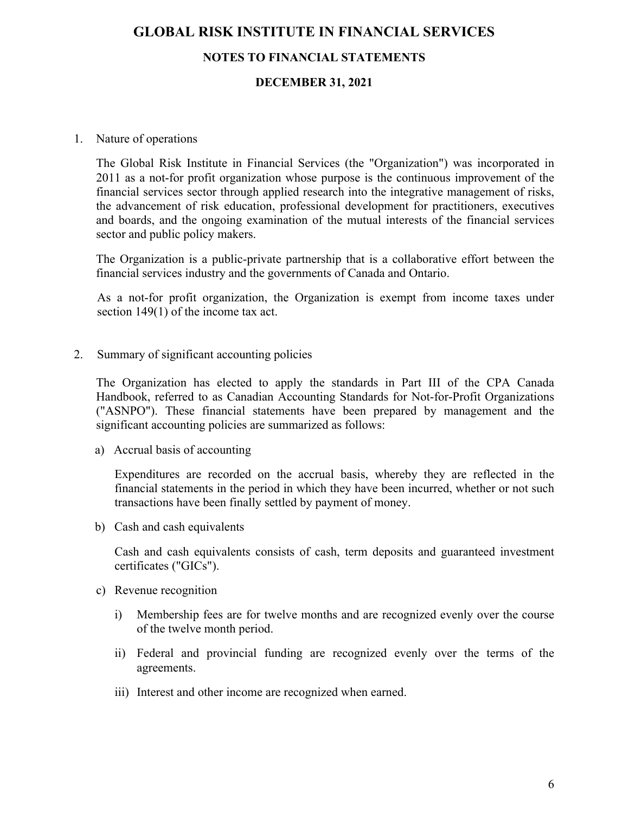### **NOTES TO FINANCIAL STATEMENTS**

## **DECEMBER 31, 2021**

#### 1. Nature of operations

The Global Risk Institute in Financial Services (the "Organization") was incorporated in 2011 as a not-for profit organization whose purpose is the continuous improvement of the financial services sector through applied research into the integrative management of risks, the advancement of risk education, professional development for practitioners, executives and boards, and the ongoing examination of the mutual interests of the financial services sector and public policy makers.

The Organization is a public-private partnership that is a collaborative effort between the financial services industry and the governments of Canada and Ontario.

As a not-for profit organization, the Organization is exempt from income taxes under section 149(1) of the income tax act.

2. Summary of significant accounting policies

The Organization has elected to apply the standards in Part III of the CPA Canada Handbook, referred to as Canadian Accounting Standards for Not-for-Profit Organizations ("ASNPO"). These financial statements have been prepared by management and the significant accounting policies are summarized as follows:

a) Accrual basis of accounting

Expenditures are recorded on the accrual basis, whereby they are reflected in the financial statements in the period in which they have been incurred, whether or not such transactions have been finally settled by payment of money.

b) Cash and cash equivalents

Cash and cash equivalents consists of cash, term deposits and guaranteed investment certificates ("GICs").

- c) Revenue recognition
	- i) Membership fees are for twelve months and are recognized evenly over the course of the twelve month period.
	- ii) Federal and provincial funding are recognized evenly over the terms of the agreements.
	- iii) Interest and other income are recognized when earned.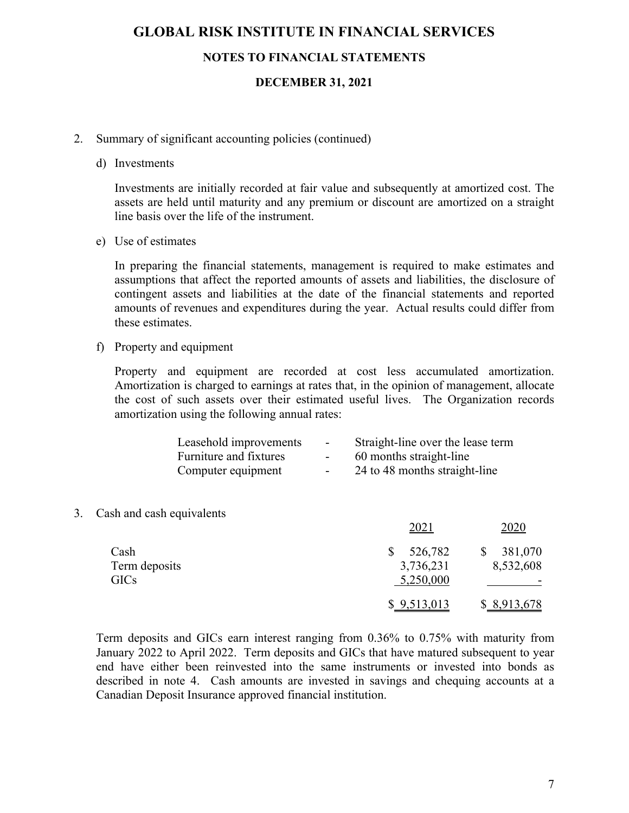### **NOTES TO FINANCIAL STATEMENTS**

## **DECEMBER 31, 2021**

#### 2. Summary of significant accounting policies (continued)

d) Investments

Investments are initially recorded at fair value and subsequently at amortized cost. The assets are held until maturity and any premium or discount are amortized on a straight line basis over the life of the instrument.

e) Use of estimates

In preparing the financial statements, management is required to make estimates and assumptions that affect the reported amounts of assets and liabilities, the disclosure of contingent assets and liabilities at the date of the financial statements and reported amounts of revenues and expenditures during the year. Actual results could differ from these estimates.

f) Property and equipment

Property and equipment are recorded at cost less accumulated amortization. Amortization is charged to earnings at rates that, in the opinion of management, allocate the cost of such assets over their estimated useful lives. The Organization records amortization using the following annual rates:

| Leasehold improvements | $\sim$     | Straight-line over the lease term |
|------------------------|------------|-----------------------------------|
| Furniture and fixtures | $\sim$ $-$ | 60 months straight-line           |
| Computer equipment     | $\sim$     | 24 to 48 months straight-line     |

3. Cash and cash equivalents

|                       | 2021                 | 2020                 |
|-----------------------|----------------------|----------------------|
| Cash<br>Term deposits | 526,782<br>3,736,231 | 381,070<br>8,532,608 |
| <b>GICs</b>           | 5,250,000            |                      |
|                       | \$9,513,013          | \$8,913,678          |

Term deposits and GICs earn interest ranging from 0.36% to 0.75% with maturity from January 2022 to April 2022. Term deposits and GICs that have matured subsequent to year end have either been reinvested into the same instruments or invested into bonds as described in note 4. Cash amounts are invested in savings and chequing accounts at a Canadian Deposit Insurance approved financial institution.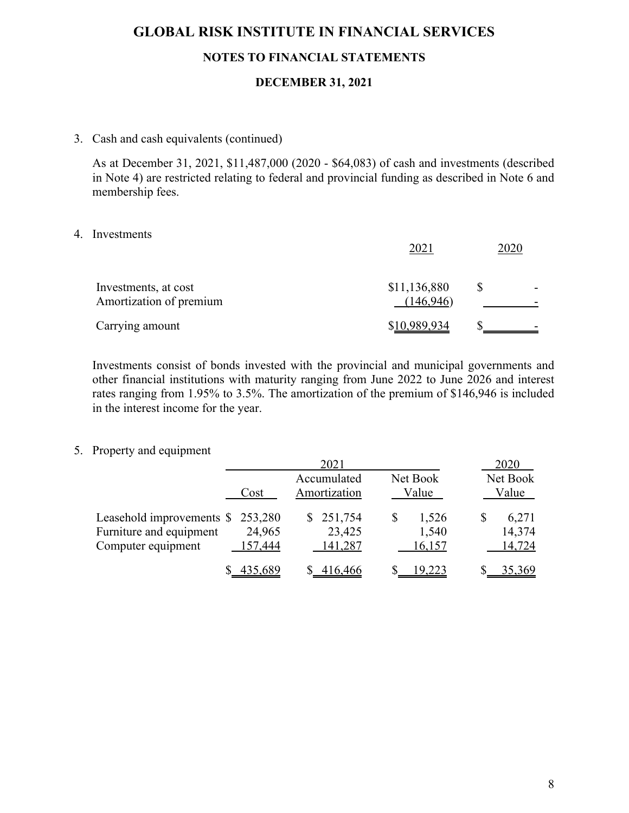# **GLOBAL RISK INSTITUTE IN FINANCIAL SERVICES NOTES TO FINANCIAL STATEMENTS**

## **DECEMBER 31, 2021**

#### 3. Cash and cash equivalents (continued)

As at December 31, 2021, \$11,487,000 (2020 - \$64,083) of cash and investments (described in Note 4) are restricted relating to federal and provincial funding as described in Note 6 and membership fees.

4. Investments

| Investments, at cost<br>Amortization of premium | \$11,136,880<br>(146, 946) |  |
|-------------------------------------------------|----------------------------|--|
| Carrying amount                                 | \$10,989,934               |  |

Investments consist of bonds invested with the provincial and municipal governments and other financial institutions with maturity ranging from June 2022 to June 2026 and interest rates ranging from 1.95% to 3.5%. The amortization of the premium of \$146,946 is included in the interest income for the year.

5. Property and equipment

|                                                                                   |                   | 2021                           |                          | 2020                      |
|-----------------------------------------------------------------------------------|-------------------|--------------------------------|--------------------------|---------------------------|
|                                                                                   | Cost              | Accumulated<br>Amortization    | Net Book<br>Value        | Net Book<br>Value         |
| Leasehold improvements \$253,280<br>Furniture and equipment<br>Computer equipment | 24,965<br>157,444 | \$251,754<br>23,425<br>141,287 | 1,526<br>1,540<br>16,157 | 6,271<br>14,374<br>14,724 |
|                                                                                   | 435,689           | 416,466                        | 19,223                   | <u>35,369</u>             |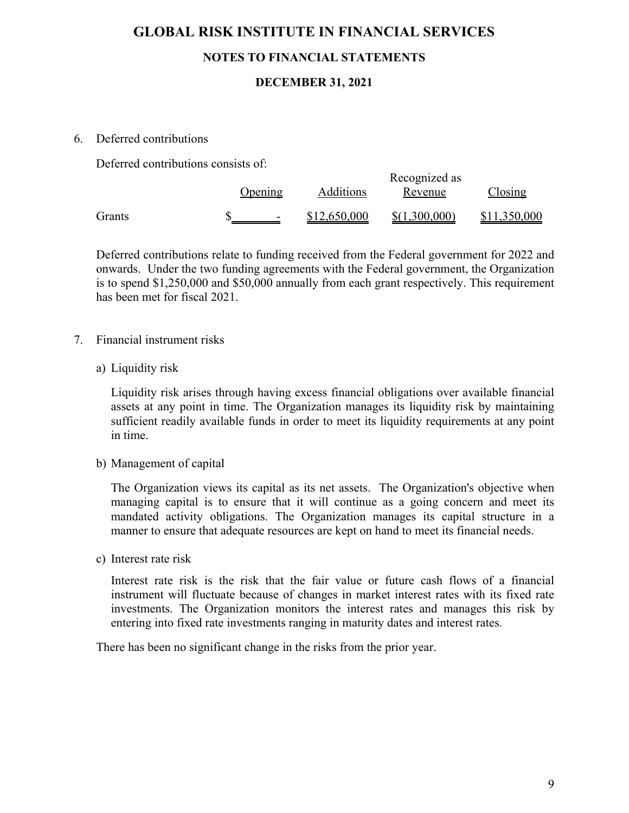# **GLOBAL RISK INSTITUTE IN FINANCIAL SERVICES NOTES TO FINANCIAL STATEMENTS**

## **DECEMBER 31, 2021**

## 6. Deferred contributions

Deferred contributions consists of:

|        |                          | Recognized as |               |              |  |
|--------|--------------------------|---------------|---------------|--------------|--|
|        | Opening                  | Additions     | Revenue       | Closing      |  |
| Grants | $\overline{\phantom{a}}$ | \$12,650,000  | \$(1,300,000) | \$11,350,000 |  |

Deferred contributions relate to funding received from the Federal government for 2022 and onwards. Under the two funding agreements with the Federal government, the Organization is to spend \$1,250,000 and \$50,000 annually from each grant respectively. This requirement has been met for fiscal 2021.

## 7. Financial instrument risks

a) Liquidity risk

Liquidity risk arises through having excess financial obligations over available financial assets at any point in time. The Organization manages its liquidity risk by maintaining sufficient readily available funds in order to meet its liquidity requirements at any point in time.

b) Management of capital

The Organization views its capital as its net assets. The Organization's objective when managing capital is to ensure that it will continue as a going concern and meet its mandated activity obligations. The Organization manages its capital structure in a manner to ensure that adequate resources are kept on hand to meet its financial needs.

c) Interest rate risk

Interest rate risk is the risk that the fair value or future cash flows of a financial instrument will fluctuate because of changes in market interest rates with its fixed rate investments. The Organization monitors the interest rates and manages this risk by entering into fixed rate investments ranging in maturity dates and interest rates.

There has been no significant change in the risks from the prior year.